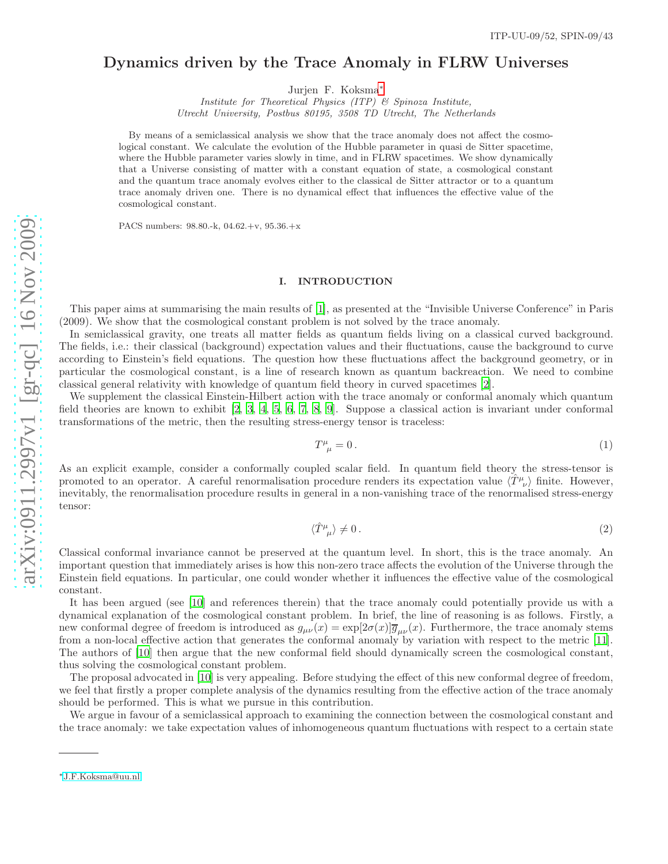# Dynamics driven by the Trace Anomaly in FLRW Universes

Jurjen F. Koksma<sup>\*</sup>

*Institute for Theoretical Physics (ITP) & Spinoza Institute, Utrecht University, Postbus 80195, 3508 TD Utrecht, The Netherlands*

By means of a semiclassical analysis we show that the trace anomaly does not affect the cosmological constant. We calculate the evolution of the Hubble parameter in quasi de Sitter spacetime, where the Hubble parameter varies slowly in time, and in FLRW spacetimes. We show dynamically that a Universe consisting of matter with a constant equation of state, a cosmological constant and the quantum trace anomaly evolves either to the classical de Sitter attractor or to a quantum trace anomaly driven one. There is no dynamical effect that influences the effective value of the cosmological constant.

PACS numbers: 98.80.-k, 04.62.+v, 95.36.+x

#### I. INTRODUCTION

This paper aims at summarising the main results of [\[1\]](#page-5-0), as presented at the "Invisible Universe Conference" in Paris (2009). We show that the cosmological constant problem is not solved by the trace anomaly.

In semiclassical gravity, one treats all matter fields as quantum fields living on a classical curved background. The fields, i.e.: their classical (background) expectation values and their fluctuations, cause the background to curve according to Einstein's field equations. The question how these fluctuations affect the background geometry, or in particular the cosmological constant, is a line of research known as quantum backreaction. We need to combine classical general relativity with knowledge of quantum field theory in curved spacetimes [\[2](#page-5-1)].

We supplement the classical Einstein-Hilbert action with the trace anomaly or conformal anomaly which quantum field theories are known to exhibit [\[2,](#page-5-1) [3,](#page-5-2) [4,](#page-5-3) [5](#page-5-4), [6](#page-5-5), [7,](#page-5-6) [8,](#page-5-7) [9\]](#page-5-8). Suppose a classical action is invariant under conformal transformations of the metric, then the resulting stress-energy tensor is traceless:

$$
T^{\mu}_{\ \mu} = 0. \tag{1}
$$

As an explicit example, consider a conformally coupled scalar field. In quantum field theory the stress-tensor is promoted to an operator. A careful renormalisation procedure renders its expectation value  $\langle \hat{T}^{\mu}_{\nu} \rangle$  finite. However, inevitably, the renormalisation procedure results in general in a non-vanishing trace of the renormalised stress-energy tensor:

$$
\langle \hat{T}^{\mu}_{\ \mu} \rangle \neq 0 \,. \tag{2}
$$

Classical conformal invariance cannot be preserved at the quantum level. In short, this is the trace anomaly. An important question that immediately arises is how this non-zero trace affects the evolution of the Universe through the Einstein field equations. In particular, one could wonder whether it influences the effective value of the cosmological constant.

It has been argued (see [\[10\]](#page-5-9) and references therein) that the trace anomaly could potentially provide us with a dynamical explanation of the cosmological constant problem. In brief, the line of reasoning is as follows. Firstly, a new conformal degree of freedom is introduced as  $g_{\mu\nu}(x) = \exp[2\sigma(x)]\overline{g}_{\mu\nu}(x)$ . Furthermore, the trace anomaly stems from a non-local effective action that generates the conformal anomaly by variation with respect to the metric [\[11\]](#page-5-10). The authors of [\[10](#page-5-9)] then argue that the new conformal field should dynamically screen the cosmological constant, thus solving the cosmological constant problem.

The proposal advocated in [\[10](#page-5-9)] is very appealing. Before studying the effect of this new conformal degree of freedom, we feel that firstly a proper complete analysis of the dynamics resulting from the effective action of the trace anomaly should be performed. This is what we pursue in this contribution.

We argue in favour of a semiclassical approach to examining the connection between the cosmological constant and the trace anomaly: we take expectation values of inhomogeneous quantum fluctuations with respect to a certain state

<span id="page-0-0"></span><sup>∗</sup>[J.F.Koksma@uu.nl](mailto:J.F.Koksma@uu.nl)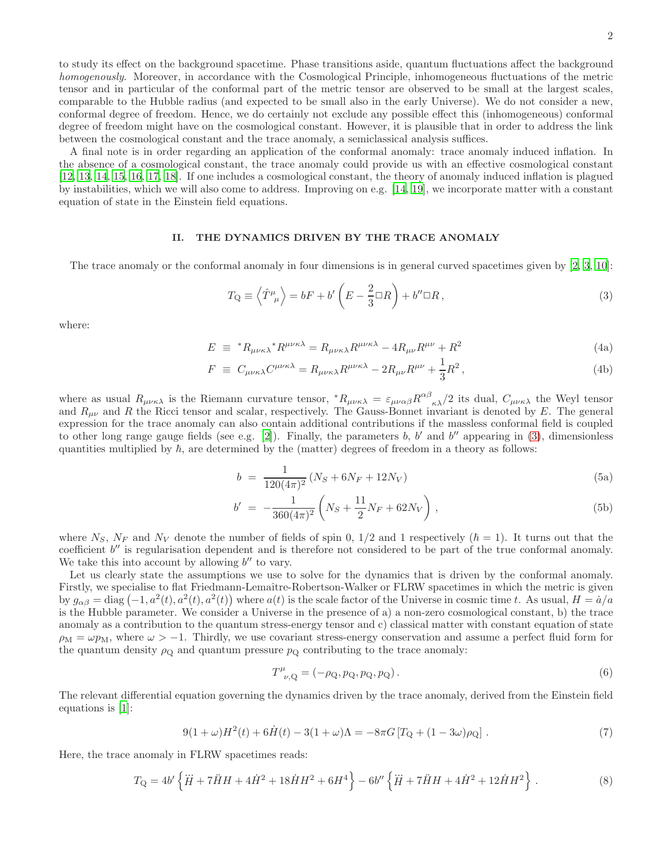to study its effect on the background spacetime. Phase transitions aside, quantum fluctuations affect the background homogenously. Moreover, in accordance with the Cosmological Principle, inhomogeneous fluctuations of the metric tensor and in particular of the conformal part of the metric tensor are observed to be small at the largest scales, comparable to the Hubble radius (and expected to be small also in the early Universe). We do not consider a new, conformal degree of freedom. Hence, we do certainly not exclude any possible effect this (inhomogeneous) conformal degree of freedom might have on the cosmological constant. However, it is plausible that in order to address the link between the cosmological constant and the trace anomaly, a semiclassical analysis suffices.

A final note is in order regarding an application of the conformal anomaly: trace anomaly induced inflation. In the absence of a cosmological constant, the trace anomaly could provide us with an effective cosmological constant [\[12,](#page-5-11) [13,](#page-5-12) [14](#page-5-13), [15](#page-5-14), [16,](#page-5-15) [17,](#page-5-16) [18](#page-5-17)]. If one includes a cosmological constant, the theory of anomaly induced inflation is plagued by instabilities, which we will also come to address. Improving on e.g. [\[14](#page-5-13), [19\]](#page-5-18), we incorporate matter with a constant equation of state in the Einstein field equations.

#### II. THE DYNAMICS DRIVEN BY THE TRACE ANOMALY

The trace anomaly or the conformal anomaly in four dimensions is in general curved spacetimes given by [\[2,](#page-5-1) [3,](#page-5-2) [10\]](#page-5-9):

<span id="page-1-0"></span>
$$
T_{\mathcal{Q}} \equiv \left\langle \hat{T}^{\mu}_{\ \mu} \right\rangle = bF + b'\left(E - \frac{2}{3}\Box R\right) + b''\Box R\,,\tag{3}
$$

where:

$$
E \equiv {}^{*}R_{\mu\nu\kappa\lambda} {}^{*}R^{\mu\nu\kappa\lambda} = R_{\mu\nu\kappa\lambda}R^{\mu\nu\kappa\lambda} - 4R_{\mu\nu}R^{\mu\nu} + R^{2}
$$
\n(4a)

$$
F \equiv C_{\mu\nu\kappa\lambda} C^{\mu\nu\kappa\lambda} = R_{\mu\nu\kappa\lambda} R^{\mu\nu\kappa\lambda} - 2R_{\mu\nu} R^{\mu\nu} + \frac{1}{3} R^2, \qquad (4b)
$$

where as usual  $R_{\mu\nu\kappa\lambda}$  is the Riemann curvature tensor,  ${}^*R_{\mu\nu\kappa\lambda} = \varepsilon_{\mu\nu\alpha\beta} R^{\alpha\beta}{}_{\kappa\lambda}/2$  its dual,  $C_{\mu\nu\kappa\lambda}$  the Weyl tensor and  $R_{\mu\nu}$  and R the Ricci tensor and scalar, respectively. The Gauss-Bonnet invariant is denoted by E. The general expression for the trace anomaly can also contain additional contributions if the massless conformal field is coupled to other long range gauge fields (see e.g. [\[2\]](#page-5-1)). Finally, the parameters b, b' and b'' appearing in [\(3\)](#page-1-0), dimensionless quantities multiplied by  $\hbar$ , are determined by the (matter) degrees of freedom in a theory as follows:

<span id="page-1-3"></span>
$$
b = \frac{1}{120(4\pi)^2} (N_S + 6N_F + 12N_V)
$$
\n(5a)

$$
b' = -\frac{1}{360(4\pi)^2} \left( N_S + \frac{11}{2} N_F + 62N_V \right), \tag{5b}
$$

where  $N_S$ ,  $N_F$  and  $N_V$  denote the number of fields of spin 0, 1/2 and 1 respectively  $(\hbar = 1)$ . It turns out that the coefficient  $b''$  is regularisation dependent and is therefore not considered to be part of the true conformal anomaly. We take this into account by allowing  $b''$  to vary.

Let us clearly state the assumptions we use to solve for the dynamics that is driven by the conformal anomaly. Firstly, we specialise to flat Friedmann-Lemaître-Robertson-Walker or FLRW spacetimes in which the metric is given by  $g_{\alpha\beta} = \text{diag}(-1, a^2(t), a^2(t), a^2(t))$  where  $a(t)$  is the scale factor of the Universe in cosmic time t. As usual,  $H = \dot{a}/a$ is the Hubble parameter. We consider a Universe in the presence of a) a non-zero cosmological constant, b) the trace anomaly as a contribution to the quantum stress-energy tensor and c) classical matter with constant equation of state  $\rho_M = \omega p_M$ , where  $\omega > -1$ . Thirdly, we use covariant stress-energy conservation and assume a perfect fluid form for the quantum density  $\rho_{\rm Q}$  and quantum pressure  $p_{\rm Q}$  contributing to the trace anomaly:

$$
T^{\mu}_{\ \nu, \mathbf{Q}} = (-\rho_{\mathbf{Q}}, p_{\mathbf{Q}}, p_{\mathbf{Q}}, p_{\mathbf{Q}}). \tag{6}
$$

The relevant differential equation governing the dynamics driven by the trace anomaly, derived from the Einstein field equations is [\[1](#page-5-0)]:

<span id="page-1-1"></span>
$$
9(1+\omega)H^{2}(t) + 6\dot{H}(t) - 3(1+\omega)\Lambda = -8\pi G\left[T_{Q} + (1-3\omega)\rho_{Q}\right].
$$
\n(7)

Here, the trace anomaly in FLRW spacetimes reads:

<span id="page-1-2"></span>
$$
T_{\mathcal{Q}} = 4b'\left\{\dddot{H} + 7\ddot{H}H + 4\dot{H}^2 + 18\dot{H}H^2 + 6H^4\right\} - 6b''\left\{\dddot{H} + 7\ddot{H}H + 4\dot{H}^2 + 12\dot{H}H^2\right\}.
$$
 (8)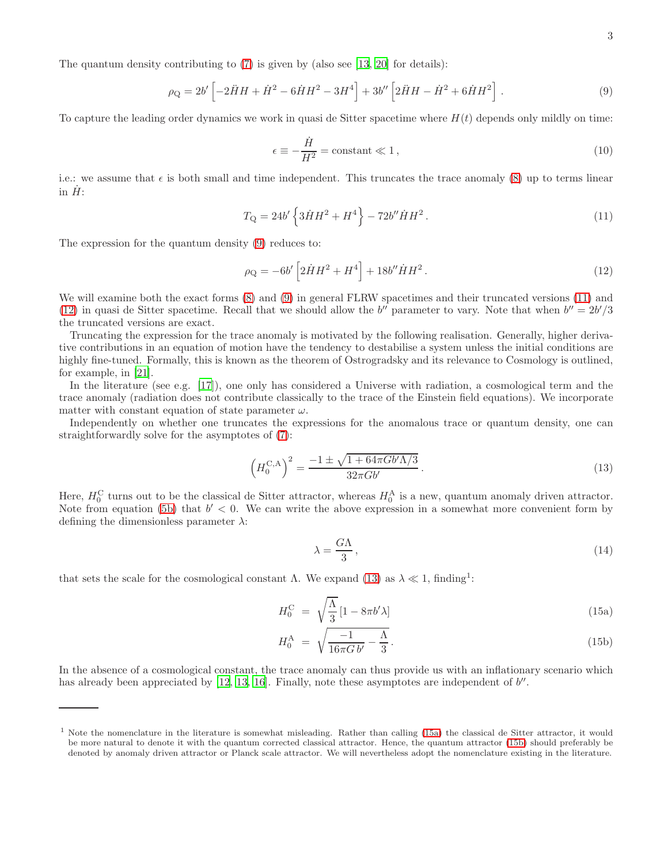The quantum density contributing to  $(7)$  is given by (also see [\[13,](#page-5-12) [20\]](#page-5-19) for details):

<span id="page-2-0"></span>
$$
\rho_{\mathcal{Q}} = 2b' \left[ -2\ddot{H}H + \dot{H}^2 - 6\dot{H}H^2 - 3H^4 \right] + 3b'' \left[ 2\ddot{H}H - \dot{H}^2 + 6\dot{H}H^2 \right].
$$
 (9)

To capture the leading order dynamics we work in quasi de Sitter spacetime where  $H(t)$  depends only mildly on time:

$$
\epsilon \equiv -\frac{\dot{H}}{H^2} = \text{constant} \ll 1,\tag{10}
$$

i.e.: we assume that  $\epsilon$  is both small and time independent. This truncates the trace anomaly [\(8\)](#page-1-2) up to terms linear in  $\dot{H}$ :

<span id="page-2-1"></span>
$$
T_{\mathcal{Q}} = 24b' \left\{ 3\dot{H}H^2 + H^4 \right\} - 72b'' \dot{H}H^2.
$$
 (11)

The expression for the quantum density [\(9\)](#page-2-0) reduces to:

<span id="page-2-2"></span>
$$
\rho_{\mathcal{Q}} = -6b' \left[ 2\dot{H}H^2 + H^4 \right] + 18b'' \dot{H}H^2.
$$
\n(12)

We will examine both the exact forms  $(8)$  and  $(9)$  in general FLRW spacetimes and their truncated versions  $(11)$  and [\(12\)](#page-2-2) in quasi de Sitter spacetime. Recall that we should allow the b'' parameter to vary. Note that when  $b'' = 2b'/3$ the truncated versions are exact.

Truncating the expression for the trace anomaly is motivated by the following realisation. Generally, higher derivative contributions in an equation of motion have the tendency to destabilise a system unless the initial conditions are highly fine-tuned. Formally, this is known as the theorem of Ostrogradsky and its relevance to Cosmology is outlined, for example, in [\[21](#page-5-20)].

In the literature (see e.g. [\[17\]](#page-5-16)), one only has considered a Universe with radiation, a cosmological term and the trace anomaly (radiation does not contribute classically to the trace of the Einstein field equations). We incorporate matter with constant equation of state parameter  $\omega$ .

Independently on whether one truncates the expressions for the anomalous trace or quantum density, one can straightforwardly solve for the asymptotes of [\(7\)](#page-1-1):

<span id="page-2-3"></span>
$$
\left(H_0^{\text{C,A}}\right)^2 = \frac{-1 \pm \sqrt{1 + 64\pi Gb'\Lambda/3}}{32\pi Gb'}.
$$
\n(13)

Here,  $H_0^C$  turns out to be the classical de Sitter attractor, whereas  $H_0^A$  is a new, quantum anomaly driven attractor. Note from equation [\(5b\)](#page-1-3) that  $b' < 0$ . We can write the above expression in a somewhat more convenient form by defining the dimensionless parameter  $\lambda$ :

$$
\lambda = \frac{G\Lambda}{3},\tag{14}
$$

that sets the scale for the cosmological constant  $\Lambda$ . We expand [\(13\)](#page-2-3) as  $\lambda \ll 1$ , finding<sup>1</sup>:

<span id="page-2-4"></span>
$$
H_0^{\rm C} = \sqrt{\frac{\Lambda}{3}} \left[ 1 - 8\pi b' \lambda \right] \tag{15a}
$$

$$
H_0^{\rm A} = \sqrt{\frac{-1}{16\pi G b'} - \frac{\Lambda}{3}}.
$$
\n(15b)

In the absence of a cosmological constant, the trace anomaly can thus provide us with an inflationary scenario which has already been appreciated by [\[12,](#page-5-11) [13,](#page-5-12) [16\]](#page-5-15). Finally, note these asymptotes are independent of b''.

 $1$  Note the nomenclature in the literature is somewhat misleading. Rather than calling [\(15a\)](#page-2-4) the classical de Sitter attractor, it would be more natural to denote it with the quantum corrected classical attractor. Hence, the quantum attractor [\(15b\)](#page-2-4) should preferably be denoted by anomaly driven attractor or Planck scale attractor. We will nevertheless adopt the nomenclature existing in the literature.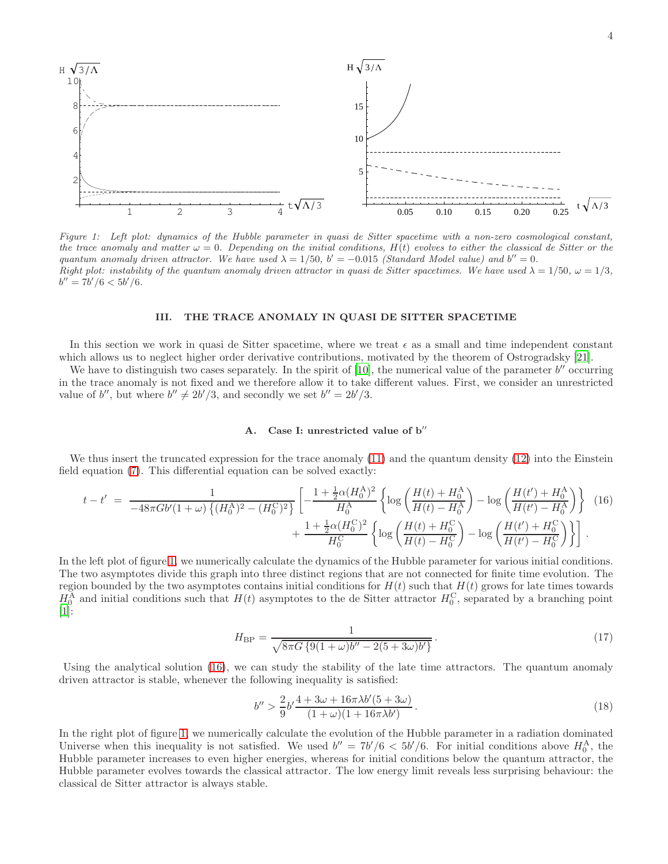

<span id="page-3-0"></span>*Figure 1: Left plot: dynamics of the Hubble parameter in quasi de Sitter spacetime with a non-zero cosmological constant, the trace anomaly and matter*  $\omega = 0$ . Depending on the initial conditions,  $H(t)$  evolves to either the classical de Sitter or the *quantum anomaly driven attractor.* We have used  $\lambda = 1/50$ ,  $b' = -0.015$  (Standard Model value) and  $b'' = 0$ . *Right plot: instability of the quantum anomaly driven attractor in quasi de Sitter spacetimes. We have used*  $\lambda = 1/50$ ,  $\omega = 1/3$ ,  $b'' = 7b'/6 < 5b'/6.$ 

### III. THE TRACE ANOMALY IN QUASI DE SITTER SPACETIME

In this section we work in quasi de Sitter spacetime, where we treat  $\epsilon$  as a small and time independent constant which allows us to neglect higher order derivative contributions, motivated by the theorem of Ostrogradsky [\[21\]](#page-5-20).

We have to distinguish two cases separately. In the spirit of  $[10]$ , the numerical value of the parameter  $b''$  occurring in the trace anomaly is not fixed and we therefore allow it to take different values. First, we consider an unrestricted value of b'', but where  $b'' \neq 2b'/3$ , and secondly we set  $b'' = 2b'/3$ .

#### A. Case I: unrestricted value of  $b''$

We thus insert the truncated expression for the trace anomaly [\(11\)](#page-2-1) and the quantum density [\(12\)](#page-2-2) into the Einstein field equation [\(7\)](#page-1-1). This differential equation can be solved exactly:

<span id="page-3-1"></span>
$$
t - t' = \frac{1}{-48\pi Gb'(1+\omega)\left\{(H_0^{\text{A}})^2 - (H_0^{\text{C}})^2\right\}} \left[ -\frac{1 + \frac{1}{2}\alpha(H_0^{\text{A}})^2}{H_0^{\text{A}}} \left\{ \log\left(\frac{H(t) + H_0^{\text{A}}}{H(t) - H_0^{\text{A}}}\right) - \log\left(\frac{H(t') + H_0^{\text{A}}}{H(t') - H_0^{\text{A}}}\right) \right\} \right] (16) + \frac{1 + \frac{1}{2}\alpha(H_0^{\text{C}})^2}{H_0^{\text{C}}} \left\{ \log\left(\frac{H(t) + H_0^{\text{C}}}{H(t) - H_0^{\text{C}}}\right) - \log\left(\frac{H(t') + H_0^{\text{C}}}{H(t') - H_0^{\text{C}}}\right) \right\} \right].
$$

In the left plot of figure [1,](#page-3-0) we numerically calculate the dynamics of the Hubble parameter for various initial conditions. The two asymptotes divide this graph into three distinct regions that are not connected for finite time evolution. The region bounded by the two asymptotes contains initial conditions for  $H(t)$  such that  $H(t)$  grows for late times towards  $H_0^{\text{A}}$  and initial conditions such that  $H(t)$  asymptotes to the de Sitter attractor  $H_0^{\text{C}}$ , separated by a branching point [\[1\]](#page-5-0):

$$
H_{\rm BP} = \frac{1}{\sqrt{8\pi G \{9(1+\omega)b'' - 2(5+3\omega)b'\}}}.
$$
\n(17)

Using the analytical solution [\(16\)](#page-3-1), we can study the stability of the late time attractors. The quantum anomaly driven attractor is stable, whenever the following inequality is satisfied:

$$
b'' > \frac{2}{9}b' \frac{4 + 3\omega + 16\pi\lambda b'(5 + 3\omega)}{(1 + \omega)(1 + 16\pi\lambda b')}.
$$
\n(18)

In the right plot of figure [1,](#page-3-0) we numerically calculate the evolution of the Hubble parameter in a radiation dominated Universe when this inequality is not satisfied. We used  $b'' = 7b'/6 < 5b'/6$ . For initial conditions above  $H_0^{\text{A}}$ , the Hubble parameter increases to even higher energies, whereas for initial conditions below the quantum attractor, the Hubble parameter evolves towards the classical attractor. The low energy limit reveals less surprising behaviour: the classical de Sitter attractor is always stable.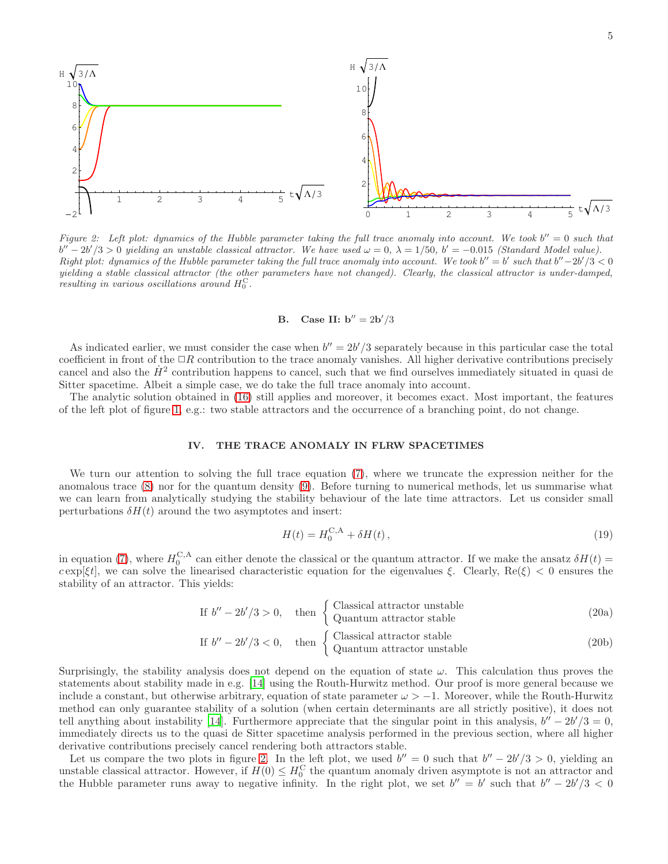

<span id="page-4-0"></span>*Figure 2:* Left plot: dynamics of the Hubble parameter taking the full trace anomaly into account. We took  $b'' = 0$  such that  $b'' - 2b'/3 > 0$  yielding an unstable classical attractor. We have used  $\omega = 0$ ,  $\lambda = 1/50$ ,  $b' = -0.015$  *(Standard Model value)*.  $Right\ plot\ \cdot\ \ dy\nnamics\ of\ the\ Hubble\ parameter\ taking\ the\ full\ trace\ anomaly\ into\ account\ \cdot\ We\ took\ b^{\prime\prime} = b^\prime\ such\ that\ b^{\prime\prime} - 2b^\prime/3 < 0$ *yielding a stable classical attractor (the other parameters have not changed). Clearly, the classical attractor is under-damped,*  $r$ *esulting in various oscillations around*  $H_0^C$ .

# **B.** Case II:  $b'' = 2b'/3$

As indicated earlier, we must consider the case when  $b'' = 2b'/3$  separately because in this particular case the total coefficient in front of the  $\Box R$  contribution to the trace anomaly vanishes. All higher derivative contributions precisely cancel and also the  $\dot{H}^2$  contribution happens to cancel, such that we find ourselves immediately situated in quasi de Sitter spacetime. Albeit a simple case, we do take the full trace anomaly into account.

The analytic solution obtained in [\(16\)](#page-3-1) still applies and moreover, it becomes exact. Most important, the features of the left plot of figure [1,](#page-3-0) e.g.: two stable attractors and the occurrence of a branching point, do not change.

#### IV. THE TRACE ANOMALY IN FLRW SPACETIMES

We turn our attention to solving the full trace equation [\(7\)](#page-1-1), where we truncate the expression neither for the anomalous trace [\(8\)](#page-1-2) nor for the quantum density [\(9\)](#page-2-0). Before turning to numerical methods, let us summarise what we can learn from analytically studying the stability behaviour of the late time attractors. Let us consider small perturbations  $\delta H(t)$  around the two asymptotes and insert:

$$
H(t) = H_0^{\text{C,A}} + \delta H(t),\qquad(19)
$$

in equation [\(7\)](#page-1-1), where  $H_0^{C,A}$  can either denote the classical or the quantum attractor. If we make the ansatz  $\delta H(t)$  $c \exp[\xi t]$ , we can solve the linearised characteristic equation for the eigenvalues  $\xi$ . Clearly, Re( $\xi$ ) < 0 ensures the stability of an attractor. This yields:

If 
$$
b'' - 2b'/3 > 0
$$
, then  $\begin{cases} Classical attractor unstable \\ Quantum attractor stable \end{cases}$  (20a)

If 
$$
b'' - 2b'/3 < 0
$$
, then  $\begin{cases} Classical attractor stable \\ Quantum attractor unstable \end{cases}$  (20b)

Surprisingly, the stability analysis does not depend on the equation of state  $\omega$ . This calculation thus proves the statements about stability made in e.g. [\[14](#page-5-13)] using the Routh-Hurwitz method. Our proof is more general because we include a constant, but otherwise arbitrary, equation of state parameter  $\omega > -1$ . Moreover, while the Routh-Hurwitz method can only guarantee stability of a solution (when certain determinants are all strictly positive), it does not tell anything about instability [\[14](#page-5-13)]. Furthermore appreciate that the singular point in this analysis,  $b'' - 2b'/3 = 0$ , immediately directs us to the quasi de Sitter spacetime analysis performed in the previous section, where all higher derivative contributions precisely cancel rendering both attractors stable.

Let us compare the two plots in figure [2.](#page-4-0) In the left plot, we used  $b'' = 0$  such that  $b'' - 2b'/3 > 0$ , yielding an unstable classical attractor. However, if  $H(0) \leq H_0^{\text{C}}$  the quantum anomaly driven asymptote is not an attractor and the Hubble parameter runs away to negative infinity. In the right plot, we set  $b'' = b'$  such that  $b'' - 2b'/3 < 0$